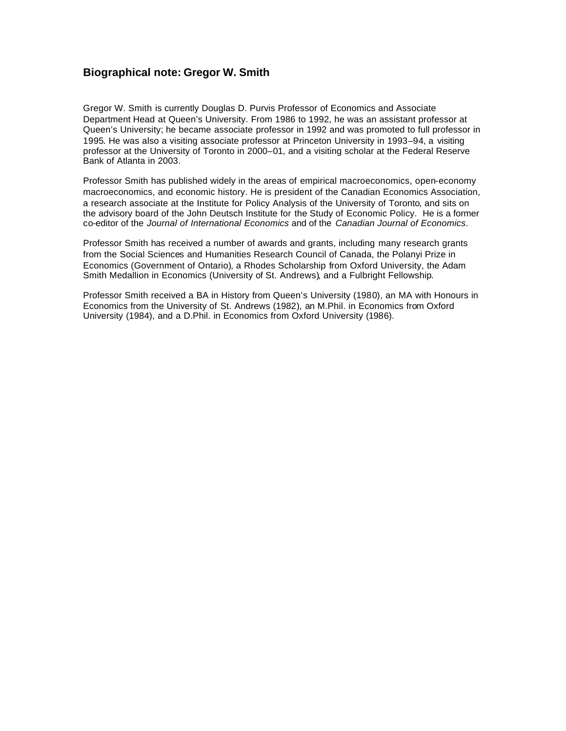## **Biographical note: Gregor W. Smith**

Gregor W. Smith is currently Douglas D. Purvis Professor of Economics and Associate Department Head at Queen's University. From 1986 to 1992, he was an assistant professor at Queen's University; he became associate professor in 1992 and was promoted to full professor in 1995. He was also a visiting associate professor at Princeton University in 1993–94, a visiting professor at the University of Toronto in 2000–01, and a visiting scholar at the Federal Reserve Bank of Atlanta in 2003.

Professor Smith has published widely in the areas of empirical macroeconomics, open-economy macroeconomics, and economic history. He is president of the Canadian Economics Association, a research associate at the Institute for Policy Analysis of the University of Toronto, and sits on the advisory board of the John Deutsch Institute for the Study of Economic Policy. He is a former co-editor of the *Journal of International Economics* and of the *Canadian Journal of Economics*.

Professor Smith has received a number of awards and grants, including many research grants from the Social Sciences and Humanities Research Council of Canada, the Polanyi Prize in Economics (Government of Ontario), a Rhodes Scholarship from Oxford University, the Adam Smith Medallion in Economics (University of St. Andrews), and a Fulbright Fellowship.

Professor Smith received a BA in History from Queen's University (1980), an MA with Honours in Economics from the University of St. Andrews (1982), an M.Phil. in Economics from Oxford University (1984), and a D.Phil. in Economics from Oxford University (1986).